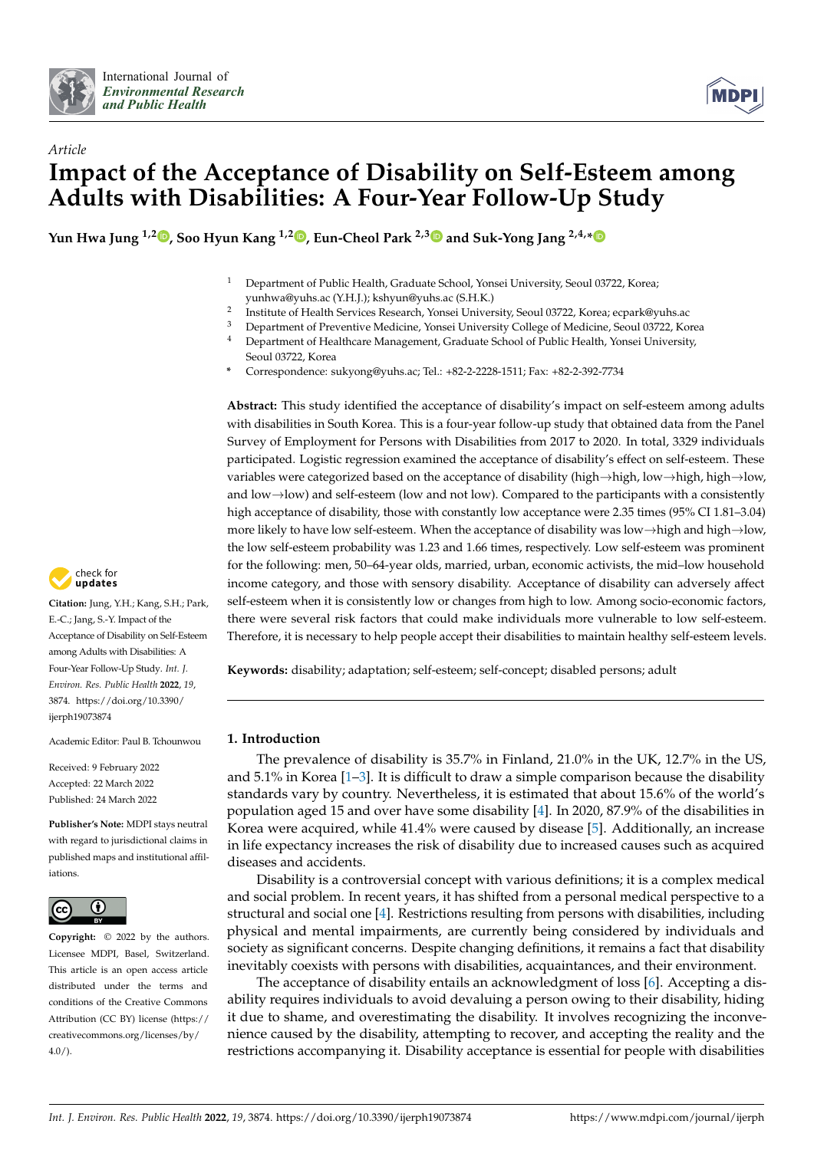



# *Article* **Impact of the Acceptance of Disability on Self-Esteem among Adults with Disabilities: A Four-Year Follow-Up Study**

**Yun Hwa Jung 1,2 [,](https://orcid.org/0000-0002-1428-5380) Soo Hyun Kang 1,2 [,](https://orcid.org/0000-0002-9381-7276) Eun-Cheol Park 2,[3](https://orcid.org/0000-0002-2306-5398) and Suk-Yong Jang 2,4,[\\*](https://orcid.org/0000-0003-0558-1505)**

- <sup>1</sup> Department of Public Health, Graduate School, Yonsei University, Seoul 03722, Korea; yunhwa@yuhs.ac (Y.H.J.); kshyun@yuhs.ac (S.H.K.)
- 2 Institute of Health Services Research, Yonsei University, Seoul 03722, Korea; ecpark@yuhs.ac
- <sup>3</sup> Department of Preventive Medicine, Yonsei University College of Medicine, Seoul 03722, Korea
- <sup>4</sup> Department of Healthcare Management, Graduate School of Public Health, Yonsei University, Seoul 03722, Korea
- **\*** Correspondence: sukyong@yuhs.ac; Tel.: +82-2-2228-1511; Fax: +82-2-392-7734

**Abstract:** This study identified the acceptance of disability's impact on self-esteem among adults with disabilities in South Korea. This is a four-year follow-up study that obtained data from the Panel Survey of Employment for Persons with Disabilities from 2017 to 2020. In total, 3329 individuals participated. Logistic regression examined the acceptance of disability's effect on self-esteem. These variables were categorized based on the acceptance of disability (high→high, low→high, high→low, and low→low) and self-esteem (low and not low). Compared to the participants with a consistently high acceptance of disability, those with constantly low acceptance were 2.35 times (95% CI 1.81-3.04) more likely to have low self-esteem. When the acceptance of disability was low→high and high→low, the low self-esteem probability was 1.23 and 1.66 times, respectively. Low self-esteem was prominent for the following: men, 50–64-year olds, married, urban, economic activists, the mid–low household income category, and those with sensory disability. Acceptance of disability can adversely affect self-esteem when it is consistently low or changes from high to low. Among socio-economic factors, there were several risk factors that could make individuals more vulnerable to low self-esteem. Therefore, it is necessary to help people accept their disabilities to maintain healthy self-esteem levels.

**Keywords:** disability; adaptation; self-esteem; self-concept; disabled persons; adult

## **1. Introduction**

The prevalence of disability is 35.7% in Finland, 21.0% in the UK, 12.7% in the US, and  $5.1\%$  in Korea [\[1–](#page-9-0)[3\]](#page-9-1). It is difficult to draw a simple comparison because the disability standards vary by country. Nevertheless, it is estimated that about 15.6% of the world's population aged 15 and over have some disability [\[4\]](#page-9-2). In 2020, 87.9% of the disabilities in Korea were acquired, while 41.4% were caused by disease [\[5\]](#page-9-3). Additionally, an increase in life expectancy increases the risk of disability due to increased causes such as acquired diseases and accidents.

Disability is a controversial concept with various definitions; it is a complex medical and social problem. In recent years, it has shifted from a personal medical perspective to a structural and social one [\[4\]](#page-9-2). Restrictions resulting from persons with disabilities, including physical and mental impairments, are currently being considered by individuals and society as significant concerns. Despite changing definitions, it remains a fact that disability inevitably coexists with persons with disabilities, acquaintances, and their environment.

The acceptance of disability entails an acknowledgment of loss [\[6\]](#page-9-4). Accepting a disability requires individuals to avoid devaluing a person owing to their disability, hiding it due to shame, and overestimating the disability. It involves recognizing the inconvenience caused by the disability, attempting to recover, and accepting the reality and the restrictions accompanying it. Disability acceptance is essential for people with disabilities



**Citation:** Jung, Y.H.; Kang, S.H.; Park, E.-C.; Jang, S.-Y. Impact of the Acceptance of Disability on Self-Esteem among Adults with Disabilities: A Four-Year Follow-Up Study. *Int. J. Environ. Res. Public Health* **2022**, *19*, 3874. [https://doi.org/10.3390/](https://doi.org/10.3390/ijerph19073874) [ijerph19073874](https://doi.org/10.3390/ijerph19073874)

Academic Editor: Paul B. Tchounwou

Received: 9 February 2022 Accepted: 22 March 2022 Published: 24 March 2022

**Publisher's Note:** MDPI stays neutral with regard to jurisdictional claims in published maps and institutional affiliations.



**Copyright:** © 2022 by the authors. Licensee MDPI, Basel, Switzerland. This article is an open access article distributed under the terms and conditions of the Creative Commons Attribution (CC BY) license [\(https://](https://creativecommons.org/licenses/by/4.0/) [creativecommons.org/licenses/by/](https://creativecommons.org/licenses/by/4.0/)  $4.0/$ ).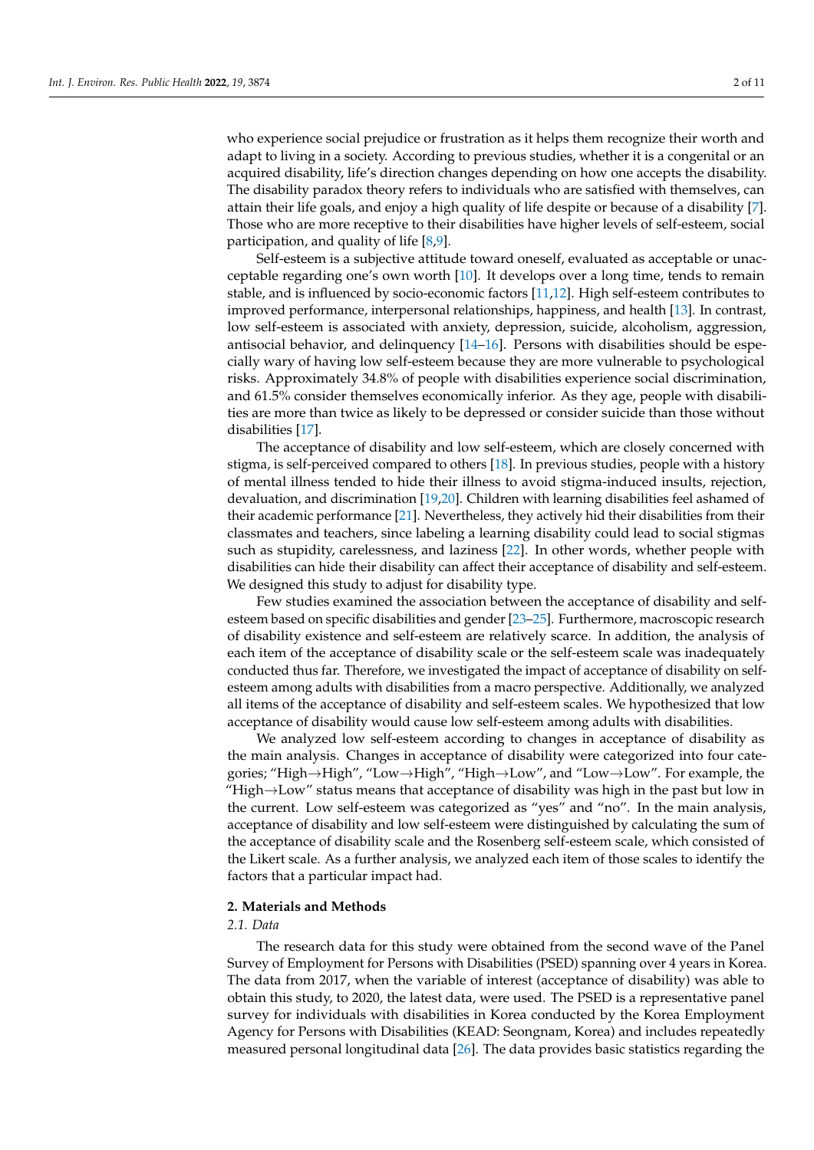who experience social prejudice or frustration as it helps them recognize their worth and adapt to living in a society. According to previous studies, whether it is a congenital or an acquired disability, life's direction changes depending on how one accepts the disability. The disability paradox theory refers to individuals who are satisfied with themselves, can attain their life goals, and enjoy a high quality of life despite or because of a disability [\[7\]](#page-9-5). Those who are more receptive to their disabilities have higher levels of self-esteem, social participation, and quality of life [\[8,](#page-9-6)[9\]](#page-9-7).

Self-esteem is a subjective attitude toward oneself, evaluated as acceptable or unacceptable regarding one's own worth [\[10\]](#page-9-8). It develops over a long time, tends to remain stable, and is influenced by socio-economic factors [\[11,](#page-9-9)[12\]](#page-9-10). High self-esteem contributes to improved performance, interpersonal relationships, happiness, and health [\[13\]](#page-9-11). In contrast, low self-esteem is associated with anxiety, depression, suicide, alcoholism, aggression, antisocial behavior, and delinquency  $[14–16]$  $[14–16]$ . Persons with disabilities should be especially wary of having low self-esteem because they are more vulnerable to psychological risks. Approximately 34.8% of people with disabilities experience social discrimination, and 61.5% consider themselves economically inferior. As they age, people with disabilities are more than twice as likely to be depressed or consider suicide than those without disabilities [\[17\]](#page-9-14).

The acceptance of disability and low self-esteem, which are closely concerned with stigma, is self-perceived compared to others [\[18\]](#page-9-15). In previous studies, people with a history of mental illness tended to hide their illness to avoid stigma-induced insults, rejection, devaluation, and discrimination [\[19](#page-9-16)[,20\]](#page-9-17). Children with learning disabilities feel ashamed of their academic performance [\[21\]](#page-9-18). Nevertheless, they actively hid their disabilities from their classmates and teachers, since labeling a learning disability could lead to social stigmas such as stupidity, carelessness, and laziness [\[22\]](#page-9-19). In other words, whether people with disabilities can hide their disability can affect their acceptance of disability and self-esteem. We designed this study to adjust for disability type.

Few studies examined the association between the acceptance of disability and selfesteem based on specific disabilities and gender [\[23–](#page-9-20)[25\]](#page-9-21). Furthermore, macroscopic research of disability existence and self-esteem are relatively scarce. In addition, the analysis of each item of the acceptance of disability scale or the self-esteem scale was inadequately conducted thus far. Therefore, we investigated the impact of acceptance of disability on selfesteem among adults with disabilities from a macro perspective. Additionally, we analyzed all items of the acceptance of disability and self-esteem scales. We hypothesized that low acceptance of disability would cause low self-esteem among adults with disabilities.

We analyzed low self-esteem according to changes in acceptance of disability as the main analysis. Changes in acceptance of disability were categorized into four categories; "High→High", "Low→High", "High→Low", and "Low→Low". For example, the "High $\rightarrow$ Low" status means that acceptance of disability was high in the past but low in the current. Low self-esteem was categorized as "yes" and "no". In the main analysis, acceptance of disability and low self-esteem were distinguished by calculating the sum of the acceptance of disability scale and the Rosenberg self-esteem scale, which consisted of the Likert scale. As a further analysis, we analyzed each item of those scales to identify the factors that a particular impact had.

#### **2. Materials and Methods**

#### *2.1. Data*

The research data for this study were obtained from the second wave of the Panel Survey of Employment for Persons with Disabilities (PSED) spanning over 4 years in Korea. The data from 2017, when the variable of interest (acceptance of disability) was able to obtain this study, to 2020, the latest data, were used. The PSED is a representative panel survey for individuals with disabilities in Korea conducted by the Korea Employment Agency for Persons with Disabilities (KEAD: Seongnam, Korea) and includes repeatedly measured personal longitudinal data [\[26\]](#page-9-22). The data provides basic statistics regarding the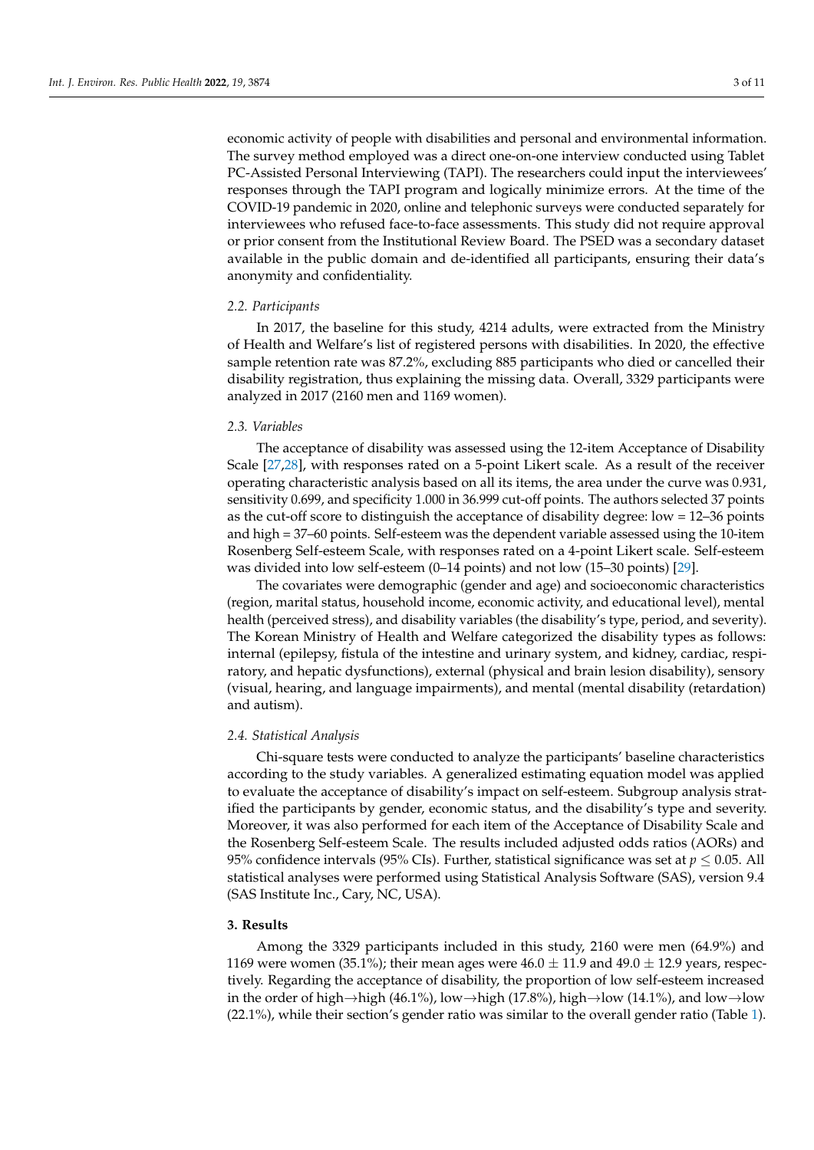economic activity of people with disabilities and personal and environmental information. The survey method employed was a direct one-on-one interview conducted using Tablet PC-Assisted Personal Interviewing (TAPI). The researchers could input the interviewees' responses through the TAPI program and logically minimize errors. At the time of the COVID-19 pandemic in 2020, online and telephonic surveys were conducted separately for interviewees who refused face-to-face assessments. This study did not require approval or prior consent from the Institutional Review Board. The PSED was a secondary dataset available in the public domain and de-identified all participants, ensuring their data's anonymity and confidentiality.

## *2.2. Participants*

In 2017, the baseline for this study, 4214 adults, were extracted from the Ministry of Health and Welfare's list of registered persons with disabilities. In 2020, the effective sample retention rate was 87.2%, excluding 885 participants who died or cancelled their disability registration, thus explaining the missing data. Overall, 3329 participants were analyzed in 2017 (2160 men and 1169 women).

#### *2.3. Variables*

The acceptance of disability was assessed using the 12-item Acceptance of Disability Scale [\[27,](#page-9-23)[28\]](#page-9-24), with responses rated on a 5-point Likert scale. As a result of the receiver operating characteristic analysis based on all its items, the area under the curve was 0.931, sensitivity 0.699, and specificity 1.000 in 36.999 cut-off points. The authors selected 37 points as the cut-off score to distinguish the acceptance of disability degree: low = 12–36 points and high = 37–60 points. Self-esteem was the dependent variable assessed using the 10-item Rosenberg Self-esteem Scale, with responses rated on a 4-point Likert scale. Self-esteem was divided into low self-esteem (0–14 points) and not low (15–30 points) [\[29\]](#page-9-25).

The covariates were demographic (gender and age) and socioeconomic characteristics (region, marital status, household income, economic activity, and educational level), mental health (perceived stress), and disability variables (the disability's type, period, and severity). The Korean Ministry of Health and Welfare categorized the disability types as follows: internal (epilepsy, fistula of the intestine and urinary system, and kidney, cardiac, respiratory, and hepatic dysfunctions), external (physical and brain lesion disability), sensory (visual, hearing, and language impairments), and mental (mental disability (retardation) and autism).

#### *2.4. Statistical Analysis*

Chi-square tests were conducted to analyze the participants' baseline characteristics according to the study variables. A generalized estimating equation model was applied to evaluate the acceptance of disability's impact on self-esteem. Subgroup analysis stratified the participants by gender, economic status, and the disability's type and severity. Moreover, it was also performed for each item of the Acceptance of Disability Scale and the Rosenberg Self-esteem Scale. The results included adjusted odds ratios (AORs) and 95% confidence intervals (95% CIs). Further, statistical significance was set at *p* ≤ 0.05. All statistical analyses were performed using Statistical Analysis Software (SAS), version 9.4 (SAS Institute Inc., Cary, NC, USA).

### **3. Results**

Among the 3329 participants included in this study, 2160 were men (64.9%) and 1169 were women (35.1%); their mean ages were  $46.0 \pm 11.9$  and  $49.0 \pm 12.9$  years, respectively. Regarding the acceptance of disability, the proportion of low self-esteem increased in the order of high→high (46.1%), low→high (17.8%), high→low (14.1%), and low→low (22.1%), while their section's gender ratio was similar to the overall gender ratio (Table [1\)](#page-3-0).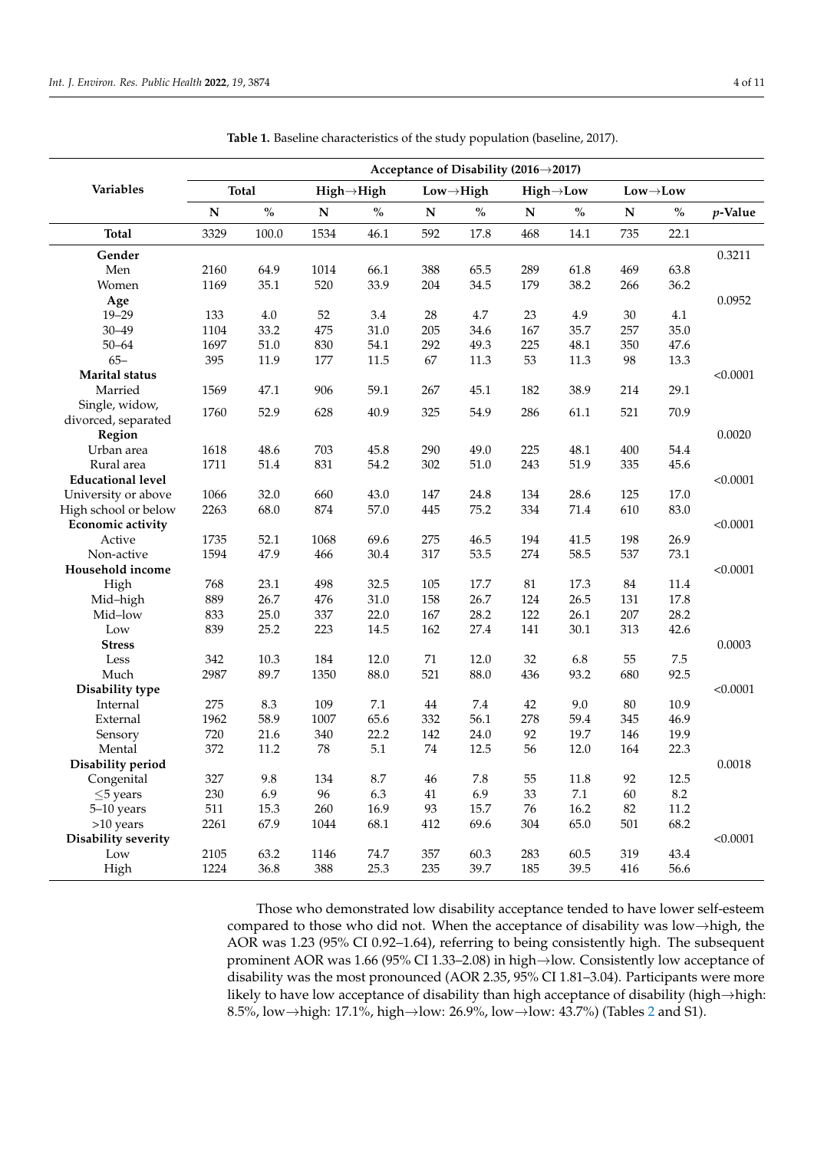|                          | Acceptance of Disability (2016→2017) |              |           |                         |           |                        |             |                        |           |                                         |            |
|--------------------------|--------------------------------------|--------------|-----------|-------------------------|-----------|------------------------|-------------|------------------------|-----------|-----------------------------------------|------------|
| Variables                |                                      | <b>Total</b> |           | $High \rightarrow High$ |           | $Low \rightarrow High$ |             | $High \rightarrow Low$ |           | $\mathbf{Low}{\rightarrow}\mathbf{Low}$ |            |
|                          | ${\bf N}$                            | $\%$         | ${\bf N}$ | $\%$                    | ${\bf N}$ | $\%$                   | $\mathbf N$ | $\%$                   | ${\bf N}$ | $\%$                                    | $p$ -Value |
| Total                    | 3329                                 | 100.0        | 1534      | 46.1                    | 592       | 17.8                   | 468         | 14.1                   | 735       | 22.1                                    |            |
| Gender                   |                                      |              |           |                         |           |                        |             |                        |           |                                         | 0.3211     |
| Men                      | 2160                                 | 64.9         | 1014      | 66.1                    | 388       | 65.5                   | 289         | 61.8                   | 469       | 63.8                                    |            |
| Women                    | 1169                                 | 35.1         | 520       | 33.9                    | 204       | 34.5                   | 179         | 38.2                   | 266       | 36.2                                    |            |
| Age                      |                                      |              |           |                         |           |                        |             |                        |           |                                         | 0.0952     |
| $19 - 29$                | 133                                  | 4.0          | 52        | 3.4                     | 28        | 4.7                    | 23          | 4.9                    | 30        | 4.1                                     |            |
| $30 - 49$                | 1104                                 | 33.2         | 475       | 31.0                    | 205       | 34.6                   | 167         | 35.7                   | 257       | 35.0                                    |            |
| $50 - 64$                | 1697                                 | 51.0         | 830       | 54.1                    | 292       | 49.3                   | 225         | 48.1                   | 350       | 47.6                                    |            |
| $65 -$                   | 395                                  | 11.9         | 177       | 11.5                    | 67        | 11.3                   | 53          | 11.3                   | 98        | 13.3                                    |            |
| Marital status           |                                      |              |           |                         |           |                        |             |                        |           |                                         | < 0.0001   |
| Married                  | 1569                                 | 47.1         | 906       | 59.1                    | 267       | 45.1                   | 182         | 38.9                   | 214       | 29.1                                    |            |
| Single, widow,           |                                      |              |           |                         |           |                        |             |                        |           |                                         |            |
| divorced, separated      | 1760                                 | 52.9         | 628       | 40.9                    | 325       | 54.9                   | 286         | 61.1                   | 521       | 70.9                                    |            |
| Region                   |                                      |              |           |                         |           |                        |             |                        |           |                                         | 0.0020     |
| Urban area               | 1618                                 | 48.6         | 703       | 45.8                    | 290       | 49.0                   | 225         | 48.1                   | 400       | 54.4                                    |            |
| Rural area               | 1711                                 | 51.4         | 831       | 54.2                    | 302       | 51.0                   | 243         | 51.9                   | 335       | 45.6                                    |            |
| <b>Educational level</b> |                                      |              |           |                         |           |                        |             |                        |           |                                         | < 0.0001   |
| University or above      | 1066                                 | 32.0         | 660       | 43.0                    | 147       | 24.8                   | 134         | 28.6                   | 125       | 17.0                                    |            |
| High school or below     | 2263                                 | 68.0         | 874       | 57.0                    | 445       | 75.2                   | 334         | 71.4                   | 610       | 83.0                                    |            |
| <b>Economic activity</b> |                                      |              |           |                         |           |                        |             |                        |           |                                         | < 0.0001   |
| Active                   | 1735                                 | 52.1         | 1068      | 69.6                    | 275       | 46.5                   | 194         | 41.5                   | 198       | 26.9                                    |            |
| Non-active               | 1594                                 | 47.9         | 466       | 30.4                    | 317       | 53.5                   | 274         | 58.5                   | 537       | 73.1                                    |            |
| Household income         |                                      |              |           |                         |           |                        |             |                        |           |                                         | < 0.0001   |
| High                     | 768                                  | 23.1         | 498       | 32.5                    | 105       | 17.7                   | 81          | 17.3                   | 84        | 11.4                                    |            |
| Mid-high                 | 889                                  | 26.7         | 476       | 31.0                    | 158       | 26.7                   | 124         | 26.5                   | 131       | 17.8                                    |            |
| Mid-low                  | 833                                  | 25.0         | 337       | 22.0                    | 167       | 28.2                   | 122         | 26.1                   | 207       | 28.2                                    |            |
| Low                      | 839                                  | 25.2         | 223       | 14.5                    | 162       | 27.4                   | 141         | 30.1                   | 313       | 42.6                                    |            |
| <b>Stress</b>            |                                      |              |           |                         |           |                        |             |                        |           |                                         | 0.0003     |
|                          |                                      | 10.3         | 184       | 12.0                    | 71        | 12.0                   | 32          | 6.8                    | 55        | 7.5                                     |            |
| Less                     | 342<br>2987                          | 89.7         |           | 88.0                    | 521       | 88.0                   |             | 93.2                   | 680       | 92.5                                    |            |
| Much                     |                                      |              | 1350      |                         |           |                        | 436         |                        |           |                                         |            |
| Disability type          |                                      |              |           |                         |           |                        |             |                        |           |                                         | < 0.0001   |
| Internal                 | 275                                  | 8.3          | 109       | $7.1\,$                 | 44        | 7.4                    | 42          | 9.0                    | 80        | 10.9                                    |            |
| External                 | 1962                                 | 58.9         | 1007      | 65.6                    | 332       | 56.1                   | 278         | 59.4                   | 345       | 46.9                                    |            |
| Sensory                  | 720                                  | 21.6         | 340       | 22.2                    | 142       | 24.0                   | 92          | 19.7                   | 146       | 19.9                                    |            |
| Mental                   | 372                                  | 11.2         | 78        | 5.1                     | $74\,$    | 12.5                   | 56          | 12.0                   | 164       | 22.3                                    |            |
| Disability period        |                                      |              |           |                         |           |                        |             |                        |           |                                         | 0.0018     |
| Congenital               | 327                                  | 9.8          | 134       | 8.7                     | 46        | $7.8\,$                | 55          | 11.8                   | 92        | 12.5                                    |            |
| $\leq$ 5 years           | 230                                  | 6.9          | 96        | 6.3                     | 41        | 6.9                    | 33          | 7.1                    | 60        | 8.2                                     |            |
| 5-10 years               | 511                                  | 15.3         | 260       | 16.9                    | 93        | 15.7                   | 76          | 16.2                   | 82        | $11.2\,$                                |            |
| >10 years                | 2261                                 | 67.9         | 1044      | 68.1                    | 412       | 69.6                   | 304         | 65.0                   | 501       | 68.2                                    |            |
| Disability severity      |                                      |              |           |                         |           |                        |             |                        |           |                                         | < 0.0001   |
| Low                      | 2105                                 | 63.2         | 1146      | 74.7                    | 357       | 60.3                   | 283         | 60.5                   | 319       | 43.4                                    |            |
| High                     | 1224                                 | 36.8         | 388       | 25.3                    | 235       | 39.7                   | 185         | 39.5                   | 416       | 56.6                                    |            |

<span id="page-3-0"></span>**Table 1.** Baseline characteristics of the study population (baseline, 2017).

Those who demonstrated low disability acceptance tended to have lower self-esteem compared to those who did not. When the acceptance of disability was low $\rightarrow$ high, the AOR was 1.23 (95% CI 0.92–1.64), referring to being consistently high. The subsequent prominent AOR was 1.66 (95% CI 1.33–2.08) in high→low. Consistently low acceptance of disability was the most pronounced (AOR 2.35, 95% CI 1.81–3.04). Participants were more likely to have low acceptance of disability than high acceptance of disability (high→high: 8.5%, low→high: 17.1%, high→low: 26.9%, low→low: 43.7%) (Tables [2](#page-4-0) and S1).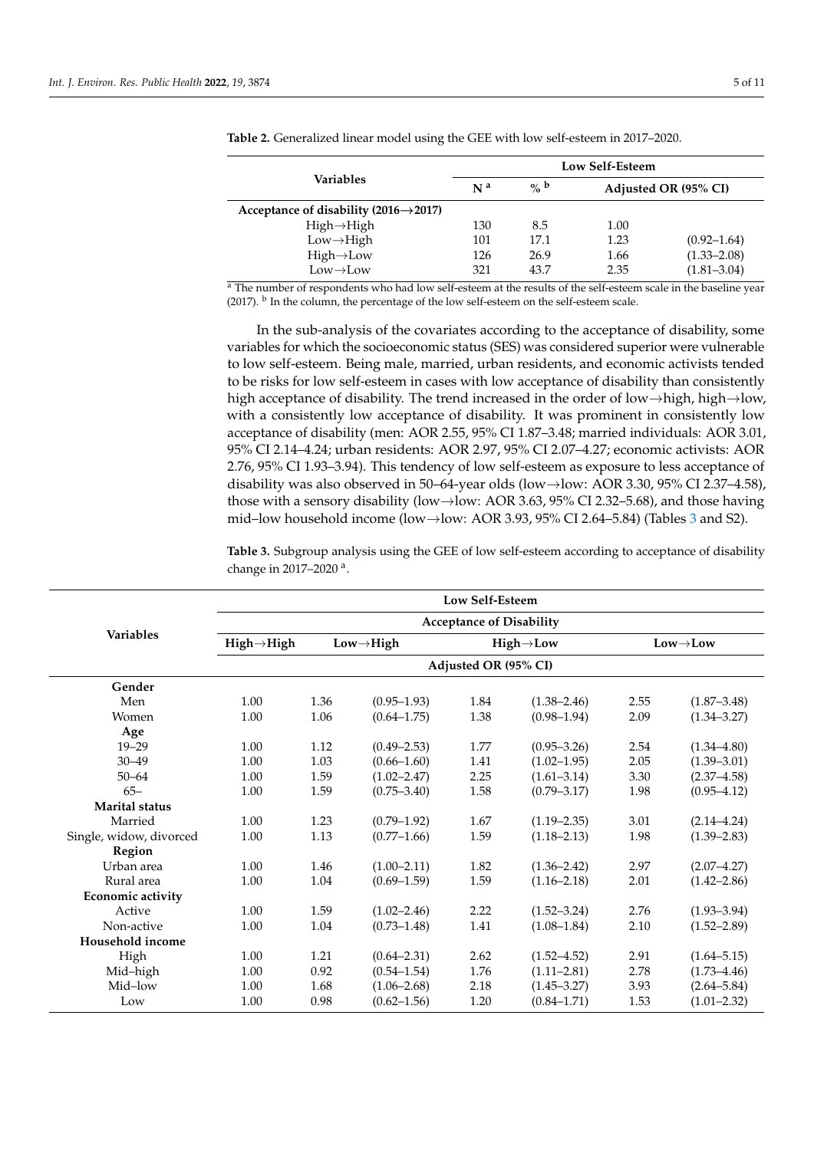|                                                    | Low Self-Esteem |                  |      |                      |  |  |  |
|----------------------------------------------------|-----------------|------------------|------|----------------------|--|--|--|
| Variables                                          | N <sup>a</sup>  | $\mathbf{o}_b$ b |      | Adjusted OR (95% CI) |  |  |  |
| Acceptance of disability $(2016 \rightarrow 2017)$ |                 |                  |      |                      |  |  |  |
| $High \rightarrow High$                            | 130             | 8.5              | 1.00 |                      |  |  |  |
| $Low \rightarrow High$                             | 101             | 17.1             | 1.23 | $(0.92 - 1.64)$      |  |  |  |
| $High \rightarrow Low$                             | 126             | 26.9             | 1.66 | $(1.33 - 2.08)$      |  |  |  |
| $Low \rightarrow Low$                              | 321             | 43.7             | 2.35 | $(1.81 - 3.04)$      |  |  |  |

<span id="page-4-0"></span>**Table 2.** Generalized linear model using the GEE with low self-esteem in 2017–2020.

<sup>a</sup> The number of respondents who had low self-esteem at the results of the self-esteem scale in the baseline year (2017). <sup>b</sup> In the column, the percentage of the low self-esteem on the self-esteem scale.

In the sub-analysis of the covariates according to the acceptance of disability, some variables for which the socioeconomic status (SES) was considered superior were vulnerable to low self-esteem. Being male, married, urban residents, and economic activists tended to be risks for low self-esteem in cases with low acceptance of disability than consistently high acceptance of disability. The trend increased in the order of low→high, high→low, with a consistently low acceptance of disability. It was prominent in consistently low acceptance of disability (men: AOR 2.55, 95% CI 1.87–3.48; married individuals: AOR 3.01, 95% CI 2.14–4.24; urban residents: AOR 2.97, 95% CI 2.07–4.27; economic activists: AOR 2.76, 95% CI 1.93–3.94). This tendency of low self-esteem as exposure to less acceptance of disability was also observed in 50–64-year olds (low→low: AOR 3.30, 95% CI 2.37–4.58), those with a sensory disability (low $\rightarrow$ low: AOR 3.63, 95% CI 2.32–5.68), and those having mid–low household income (low→low: AOR 3.93, 95% CI 2.64–5.84) (Tables [3](#page-5-0) and S2).

**Table 3.** Subgroup analysis using the GEE of low self-esteem according to acceptance of disability change in 2017-2020<sup>a</sup>.

|                         | Low Self-Esteem<br><b>Acceptance of Disability</b> |      |                        |      |                        |                       |                 |  |  |  |
|-------------------------|----------------------------------------------------|------|------------------------|------|------------------------|-----------------------|-----------------|--|--|--|
|                         |                                                    |      |                        |      |                        |                       |                 |  |  |  |
| <b>Variables</b>        | $High \rightarrow High$                            |      | $Low \rightarrow High$ |      | $High \rightarrow Low$ | $Low \rightarrow Low$ |                 |  |  |  |
|                         | Adjusted OR (95% CI)                               |      |                        |      |                        |                       |                 |  |  |  |
| Gender                  |                                                    |      |                        |      |                        |                       |                 |  |  |  |
| Men                     | 1.00                                               | 1.36 | $(0.95 - 1.93)$        | 1.84 | $(1.38 - 2.46)$        | 2.55                  | $(1.87 - 3.48)$ |  |  |  |
| Women                   | 1.00                                               | 1.06 | $(0.64 - 1.75)$        | 1.38 | $(0.98 - 1.94)$        | 2.09                  | $(1.34 - 3.27)$ |  |  |  |
| Age                     |                                                    |      |                        |      |                        |                       |                 |  |  |  |
| $19 - 29$               | 1.00                                               | 1.12 | $(0.49 - 2.53)$        | 1.77 | $(0.95 - 3.26)$        | 2.54                  | $(1.34 - 4.80)$ |  |  |  |
| $30 - 49$               | 1.00                                               | 1.03 | $(0.66 - 1.60)$        | 1.41 | $(1.02 - 1.95)$        | 2.05                  | $(1.39 - 3.01)$ |  |  |  |
| $50 - 64$               | 1.00                                               | 1.59 | $(1.02 - 2.47)$        | 2.25 | $(1.61 - 3.14)$        | 3.30                  | $(2.37 - 4.58)$ |  |  |  |
| $65 -$                  | 1.00                                               | 1.59 | $(0.75 - 3.40)$        | 1.58 | $(0.79 - 3.17)$        | 1.98                  | $(0.95 - 4.12)$ |  |  |  |
| <b>Marital</b> status   |                                                    |      |                        |      |                        |                       |                 |  |  |  |
| Married                 | 1.00                                               | 1.23 | $(0.79 - 1.92)$        | 1.67 | $(1.19 - 2.35)$        | 3.01                  | $(2.14 - 4.24)$ |  |  |  |
| Single, widow, divorced | 1.00                                               | 1.13 | $(0.77-1.66)$          | 1.59 | $(1.18 - 2.13)$        | 1.98                  | $(1.39 - 2.83)$ |  |  |  |
| Region                  |                                                    |      |                        |      |                        |                       |                 |  |  |  |
| Urban area              | 1.00                                               | 1.46 | $(1.00 - 2.11)$        | 1.82 | $(1.36 - 2.42)$        | 2.97                  | $(2.07 - 4.27)$ |  |  |  |
| Rural area              | 1.00                                               | 1.04 | $(0.69 - 1.59)$        | 1.59 | $(1.16 - 2.18)$        | 2.01                  | $(1.42 - 2.86)$ |  |  |  |
| Economic activity       |                                                    |      |                        |      |                        |                       |                 |  |  |  |
| Active                  | 1.00                                               | 1.59 | $(1.02 - 2.46)$        | 2.22 | $(1.52 - 3.24)$        | 2.76                  | $(1.93 - 3.94)$ |  |  |  |
| Non-active              | 1.00                                               | 1.04 | $(0.73 - 1.48)$        | 1.41 | $(1.08 - 1.84)$        | 2.10                  | $(1.52 - 2.89)$ |  |  |  |
| Household income        |                                                    |      |                        |      |                        |                       |                 |  |  |  |
| High                    | 1.00                                               | 1.21 | $(0.64 - 2.31)$        | 2.62 | $(1.52 - 4.52)$        | 2.91                  | $(1.64 - 5.15)$ |  |  |  |
| Mid-high                | 1.00                                               | 0.92 | $(0.54 - 1.54)$        | 1.76 | $(1.11 - 2.81)$        | 2.78                  | $(1.73 - 4.46)$ |  |  |  |
| Mid-low                 | 1.00                                               | 1.68 | $(1.06 - 2.68)$        | 2.18 | $(1.45 - 3.27)$        | 3.93                  | $(2.64 - 5.84)$ |  |  |  |
| Low                     | 1.00                                               | 0.98 | $(0.62 - 1.56)$        | 1.20 | $(0.84 - 1.71)$        | 1.53                  | $(1.01 - 2.32)$ |  |  |  |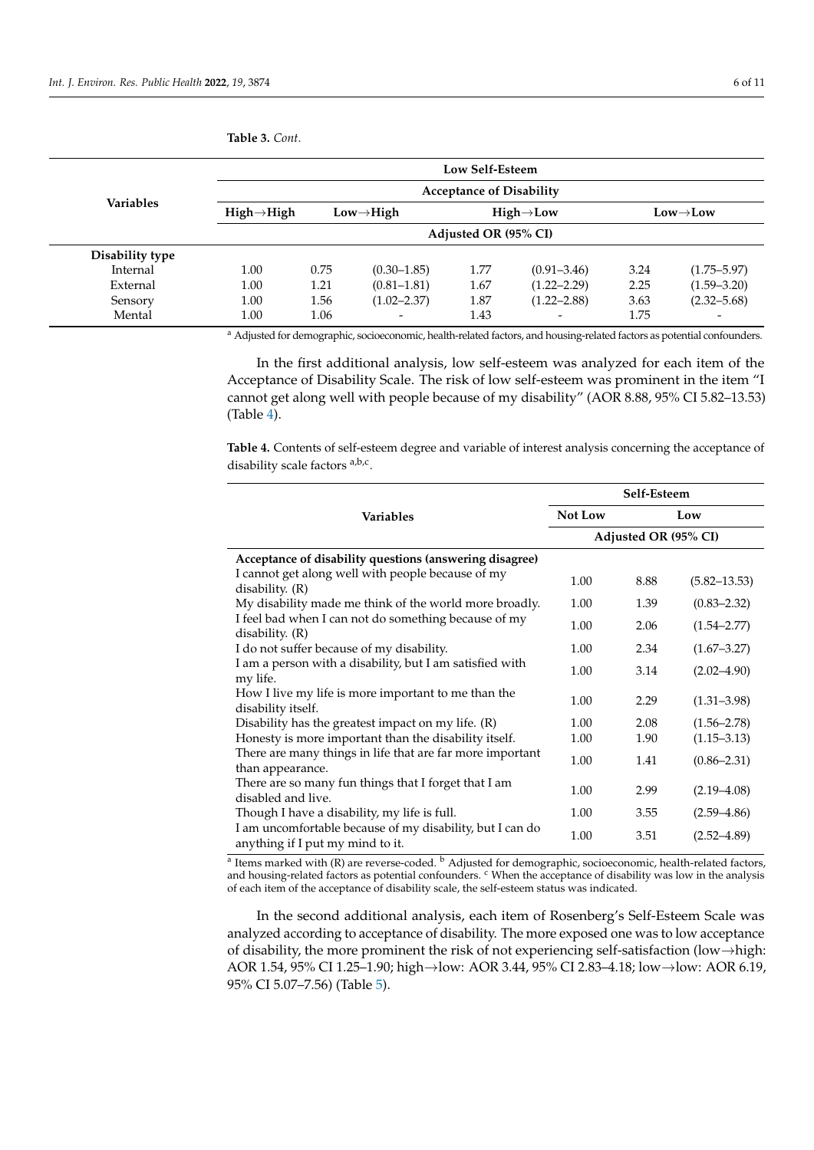|                  |                         |                                 |                        | Low Self-Esteem        |                          |                       |                 |  |  |  |
|------------------|-------------------------|---------------------------------|------------------------|------------------------|--------------------------|-----------------------|-----------------|--|--|--|
|                  |                         | <b>Acceptance of Disability</b> |                        |                        |                          |                       |                 |  |  |  |
| <b>Variables</b> | $High \rightarrow High$ |                                 | $Low \rightarrow High$ | $High \rightarrow Low$ |                          | $Low \rightarrow Low$ |                 |  |  |  |
|                  |                         | Adjusted OR (95% CI)            |                        |                        |                          |                       |                 |  |  |  |
| Disability type  |                         |                                 |                        |                        |                          |                       |                 |  |  |  |
| Internal         | 1.00                    | 0.75                            | $(0.30 - 1.85)$        | 1.77                   | $(0.91 - 3.46)$          | 3.24                  | $(1.75 - 5.97)$ |  |  |  |
| External         | 1.00                    | 1.21                            | $(0.81 - 1.81)$        | 1.67                   | $(1.22 - 2.29)$          | 2.25                  | $(1.59 - 3.20)$ |  |  |  |
| Sensory          | 1.00                    | 1.56                            | $(1.02 - 2.37)$        | 1.87                   | $(1.22 - 2.88)$          | 3.63                  | $(2.32 - 5.68)$ |  |  |  |
| Mental           | 1.00                    | 1.06                            |                        | 1.43                   | $\overline{\phantom{a}}$ | 1.75                  |                 |  |  |  |

<span id="page-5-0"></span>**Table 3.** *Cont.*

<sup>a</sup> Adjusted for demographic, socioeconomic, health-related factors, and housing-related factors as potential confounders.

In the first additional analysis, low self-esteem was analyzed for each item of the Acceptance of Disability Scale. The risk of low self-esteem was prominent in the item "I cannot get along well with people because of my disability" (AOR 8.88, 95% CI 5.82–13.53) (Table [4\)](#page-5-1).

<span id="page-5-1"></span>**Table 4.** Contents of self-esteem degree and variable of interest analysis concerning the acceptance of disability scale factors <sup>a,b,c</sup>.

|                                                                                               |         | Self-Esteem          |                  |  |  |  |
|-----------------------------------------------------------------------------------------------|---------|----------------------|------------------|--|--|--|
| <b>Variables</b>                                                                              | Not Low | Low                  |                  |  |  |  |
|                                                                                               |         | Adjusted OR (95% CI) |                  |  |  |  |
| Acceptance of disability questions (answering disagree)                                       |         |                      |                  |  |  |  |
| I cannot get along well with people because of my<br>disability. $(R)$                        | 1.00    | 8.88                 | $(5.82 - 13.53)$ |  |  |  |
| My disability made me think of the world more broadly.                                        | 1.00    | 1.39                 | $(0.83 - 2.32)$  |  |  |  |
| I feel bad when I can not do something because of my<br>disability. $(R)$                     | 1.00    | 2.06                 | $(1.54 - 2.77)$  |  |  |  |
| I do not suffer because of my disability.                                                     | 1.00    | 2.34                 | $(1.67 - 3.27)$  |  |  |  |
| I am a person with a disability, but I am satisfied with<br>my life.                          | 1.00    | 3.14                 | $(2.02 - 4.90)$  |  |  |  |
| How I live my life is more important to me than the<br>disability itself.                     | 1.00    | 2.29                 | $(1.31 - 3.98)$  |  |  |  |
| Disability has the greatest impact on my life. $(R)$                                          | 1.00    | 2.08                 | $(1.56 - 2.78)$  |  |  |  |
| Honesty is more important than the disability itself.                                         | 1.00    | 1.90                 | $(1.15 - 3.13)$  |  |  |  |
| There are many things in life that are far more important<br>than appearance.                 | 1.00    | 1.41                 | $(0.86 - 2.31)$  |  |  |  |
| There are so many fun things that I forget that I am<br>disabled and live.                    | 1.00    | 2.99                 | $(2.19 - 4.08)$  |  |  |  |
| Though I have a disability, my life is full.                                                  | 1.00    | 3.55                 | $(2.59 - 4.86)$  |  |  |  |
| I am uncomfortable because of my disability, but I can do<br>anything if I put my mind to it. | 1.00    | 3.51                 | $(2.52 - 4.89)$  |  |  |  |

<sup>a</sup> Items marked with (R) are reverse-coded. <sup>b</sup> Adjusted for demographic, socioeconomic, health-related factors, and housing-related factors as potential confounders. <sup>c</sup> When the acceptance of disability was low in the analysis of each item of the acceptance of disability scale, the self-esteem status was indicated.

In the second additional analysis, each item of Rosenberg's Self-Esteem Scale was analyzed according to acceptance of disability. The more exposed one was to low acceptance of disability, the more prominent the risk of not experiencing self-satisfaction (low→high: AOR 1.54, 95% CI 1.25–1.90; high→low: AOR 3.44, 95% CI 2.83–4.18; low→low: AOR 6.19, 95% CI 5.07–7.56) (Table [5\)](#page-6-0).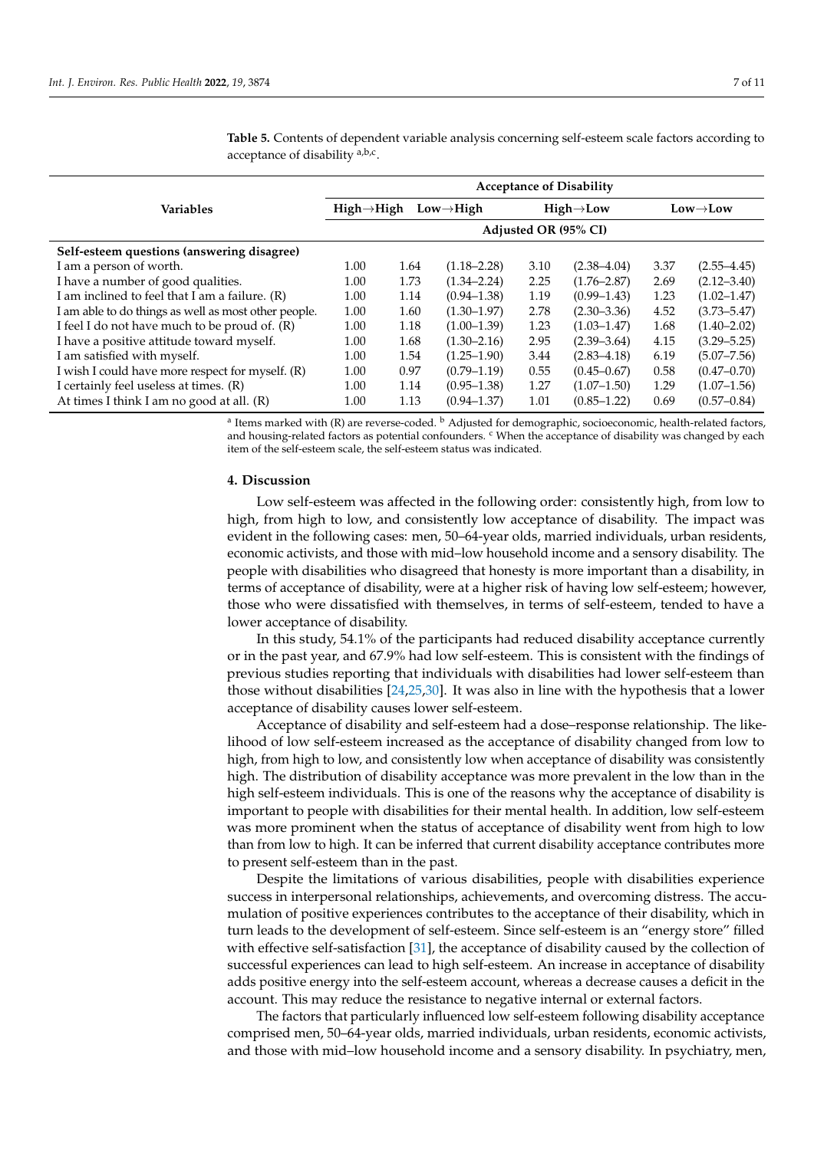|                                                      | <b>Acceptance of Disability</b>                   |      |                 |                        |                 |                       |                 |  |  |  |
|------------------------------------------------------|---------------------------------------------------|------|-----------------|------------------------|-----------------|-----------------------|-----------------|--|--|--|
| <b>Variables</b>                                     | $High \rightarrow High$<br>$Low \rightarrow High$ |      |                 | $High \rightarrow Low$ |                 | $Low \rightarrow Low$ |                 |  |  |  |
|                                                      | Adjusted OR (95% CI)                              |      |                 |                        |                 |                       |                 |  |  |  |
| Self-esteem questions (answering disagree)           |                                                   |      |                 |                        |                 |                       |                 |  |  |  |
| I am a person of worth.                              | 1.00                                              | 1.64 | $(1.18 - 2.28)$ | 3.10                   | $(2.38 - 4.04)$ | 3.37                  | $(2.55 - 4.45)$ |  |  |  |
| I have a number of good qualities.                   | 1.00                                              | 1.73 | $(1.34 - 2.24)$ | 2.25                   | $(1.76 - 2.87)$ | 2.69                  | $(2.12 - 3.40)$ |  |  |  |
| I am inclined to feel that I am a failure. (R)       | 1.00                                              | 1.14 | $(0.94 - 1.38)$ | 1.19                   | $(0.99 - 1.43)$ | 1.23                  | $(1.02 - 1.47)$ |  |  |  |
| I am able to do things as well as most other people. | 1.00                                              | 1.60 | $(1.30 - 1.97)$ | 2.78                   | $(2.30 - 3.36)$ | 4.52                  | $(3.73 - 5.47)$ |  |  |  |
| I feel I do not have much to be proud of. (R)        | 1.00                                              | 1.18 | $(1.00-1.39)$   | 1.23                   | $(1.03 - 1.47)$ | 1.68                  | $(1.40 - 2.02)$ |  |  |  |
| I have a positive attitude toward myself.            | 1.00                                              | 1.68 | $(1.30 - 2.16)$ | 2.95                   | $(2.39 - 3.64)$ | 4.15                  | $(3.29 - 5.25)$ |  |  |  |
| I am satisfied with myself.                          | 1.00                                              | 1.54 | $(1.25 - 1.90)$ | 3.44                   | $(2.83 - 4.18)$ | 6.19                  | $(5.07 - 7.56)$ |  |  |  |
| I wish I could have more respect for myself. (R)     | 1.00                                              | 0.97 | $(0.79 - 1.19)$ | 0.55                   | $(0.45 - 0.67)$ | 0.58                  | $(0.47 - 0.70)$ |  |  |  |
| I certainly feel useless at times. (R)               | 1.00                                              | 1.14 | $(0.95 - 1.38)$ | 1.27                   | $(1.07 - 1.50)$ | 1.29                  | $(1.07-1.56)$   |  |  |  |
| At times I think I am no good at all. (R)            | 1.00                                              | 1.13 | $(0.94 - 1.37)$ | 1.01                   | $(0.85 - 1.22)$ | 0.69                  | $(0.57 - 0.84)$ |  |  |  |

<span id="page-6-0"></span>**Table 5.** Contents of dependent variable analysis concerning self-esteem scale factors according to acceptance of disability <sup>a,b,c</sup>.

<sup>a</sup> Items marked with (R) are reverse-coded. <sup>b</sup> Adjusted for demographic, socioeconomic, health-related factors, and housing-related factors as potential confounders. <sup>c</sup> When the acceptance of disability was changed by each item of the self-esteem scale, the self-esteem status was indicated.

#### **4. Discussion**

Low self-esteem was affected in the following order: consistently high, from low to high, from high to low, and consistently low acceptance of disability. The impact was evident in the following cases: men, 50–64-year olds, married individuals, urban residents, economic activists, and those with mid–low household income and a sensory disability. The people with disabilities who disagreed that honesty is more important than a disability, in terms of acceptance of disability, were at a higher risk of having low self-esteem; however, those who were dissatisfied with themselves, in terms of self-esteem, tended to have a lower acceptance of disability.

In this study, 54.1% of the participants had reduced disability acceptance currently or in the past year, and 67.9% had low self-esteem. This is consistent with the findings of previous studies reporting that individuals with disabilities had lower self-esteem than those without disabilities [\[24](#page-9-26)[,25](#page-9-21)[,30\]](#page-9-27). It was also in line with the hypothesis that a lower acceptance of disability causes lower self-esteem.

Acceptance of disability and self-esteem had a dose–response relationship. The likelihood of low self-esteem increased as the acceptance of disability changed from low to high, from high to low, and consistently low when acceptance of disability was consistently high. The distribution of disability acceptance was more prevalent in the low than in the high self-esteem individuals. This is one of the reasons why the acceptance of disability is important to people with disabilities for their mental health. In addition, low self-esteem was more prominent when the status of acceptance of disability went from high to low than from low to high. It can be inferred that current disability acceptance contributes more to present self-esteem than in the past.

Despite the limitations of various disabilities, people with disabilities experience success in interpersonal relationships, achievements, and overcoming distress. The accumulation of positive experiences contributes to the acceptance of their disability, which in turn leads to the development of self-esteem. Since self-esteem is an "energy store" filled with effective self-satisfaction [\[31\]](#page-9-28), the acceptance of disability caused by the collection of successful experiences can lead to high self-esteem. An increase in acceptance of disability adds positive energy into the self-esteem account, whereas a decrease causes a deficit in the account. This may reduce the resistance to negative internal or external factors.

The factors that particularly influenced low self-esteem following disability acceptance comprised men, 50–64-year olds, married individuals, urban residents, economic activists, and those with mid–low household income and a sensory disability. In psychiatry, men,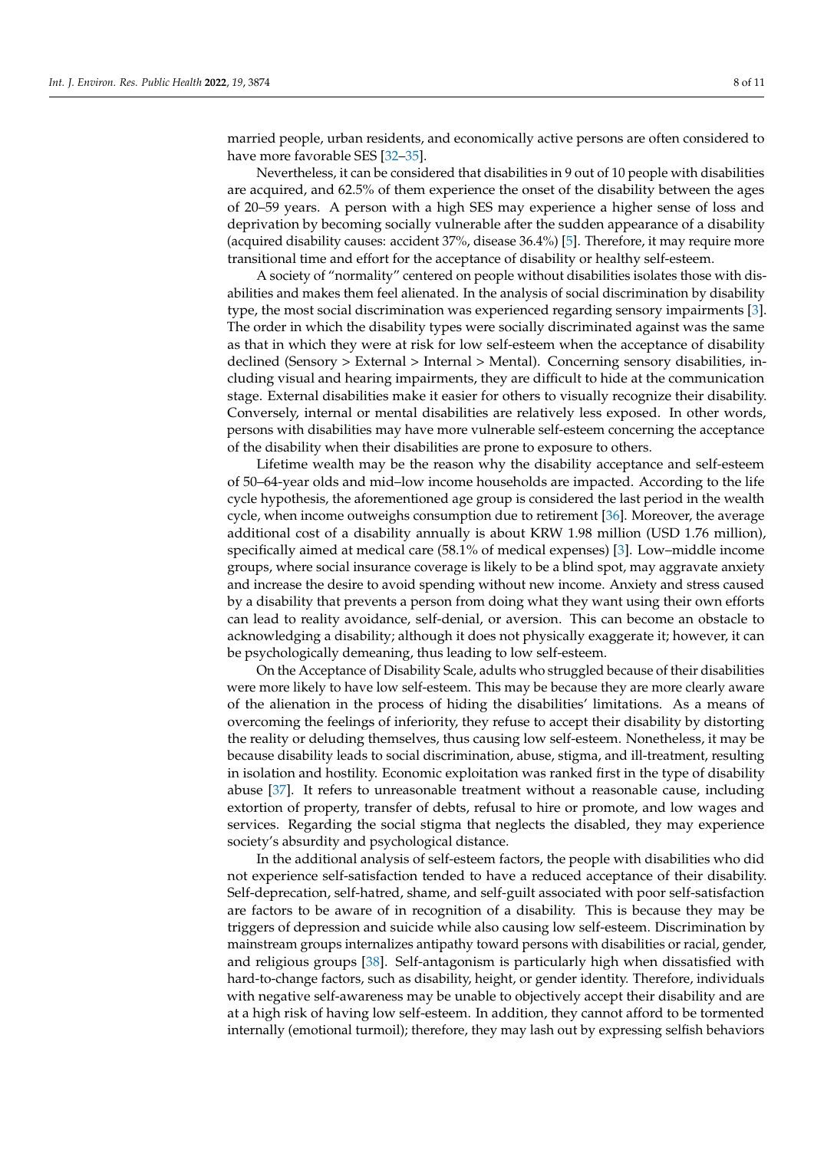married people, urban residents, and economically active persons are often considered to have more favorable SES [\[32–](#page-9-29)[35\]](#page-10-0).

Nevertheless, it can be considered that disabilities in 9 out of 10 people with disabilities are acquired, and 62.5% of them experience the onset of the disability between the ages of 20–59 years. A person with a high SES may experience a higher sense of loss and deprivation by becoming socially vulnerable after the sudden appearance of a disability (acquired disability causes: accident 37%, disease 36.4%) [\[5\]](#page-9-3). Therefore, it may require more transitional time and effort for the acceptance of disability or healthy self-esteem.

A society of "normality" centered on people without disabilities isolates those with disabilities and makes them feel alienated. In the analysis of social discrimination by disability type, the most social discrimination was experienced regarding sensory impairments [\[3\]](#page-9-1). The order in which the disability types were socially discriminated against was the same as that in which they were at risk for low self-esteem when the acceptance of disability declined (Sensory > External > Internal > Mental). Concerning sensory disabilities, including visual and hearing impairments, they are difficult to hide at the communication stage. External disabilities make it easier for others to visually recognize their disability. Conversely, internal or mental disabilities are relatively less exposed. In other words, persons with disabilities may have more vulnerable self-esteem concerning the acceptance of the disability when their disabilities are prone to exposure to others.

Lifetime wealth may be the reason why the disability acceptance and self-esteem of 50–64-year olds and mid–low income households are impacted. According to the life cycle hypothesis, the aforementioned age group is considered the last period in the wealth cycle, when income outweighs consumption due to retirement [\[36\]](#page-10-1). Moreover, the average additional cost of a disability annually is about KRW 1.98 million (USD 1.76 million), specifically aimed at medical care (58.1% of medical expenses) [\[3\]](#page-9-1). Low–middle income groups, where social insurance coverage is likely to be a blind spot, may aggravate anxiety and increase the desire to avoid spending without new income. Anxiety and stress caused by a disability that prevents a person from doing what they want using their own efforts can lead to reality avoidance, self-denial, or aversion. This can become an obstacle to acknowledging a disability; although it does not physically exaggerate it; however, it can be psychologically demeaning, thus leading to low self-esteem.

On the Acceptance of Disability Scale, adults who struggled because of their disabilities were more likely to have low self-esteem. This may be because they are more clearly aware of the alienation in the process of hiding the disabilities' limitations. As a means of overcoming the feelings of inferiority, they refuse to accept their disability by distorting the reality or deluding themselves, thus causing low self-esteem. Nonetheless, it may be because disability leads to social discrimination, abuse, stigma, and ill-treatment, resulting in isolation and hostility. Economic exploitation was ranked first in the type of disability abuse [\[37\]](#page-10-2). It refers to unreasonable treatment without a reasonable cause, including extortion of property, transfer of debts, refusal to hire or promote, and low wages and services. Regarding the social stigma that neglects the disabled, they may experience society's absurdity and psychological distance.

In the additional analysis of self-esteem factors, the people with disabilities who did not experience self-satisfaction tended to have a reduced acceptance of their disability. Self-deprecation, self-hatred, shame, and self-guilt associated with poor self-satisfaction are factors to be aware of in recognition of a disability. This is because they may be triggers of depression and suicide while also causing low self-esteem. Discrimination by mainstream groups internalizes antipathy toward persons with disabilities or racial, gender, and religious groups [\[38\]](#page-10-3). Self-antagonism is particularly high when dissatisfied with hard-to-change factors, such as disability, height, or gender identity. Therefore, individuals with negative self-awareness may be unable to objectively accept their disability and are at a high risk of having low self-esteem. In addition, they cannot afford to be tormented internally (emotional turmoil); therefore, they may lash out by expressing selfish behaviors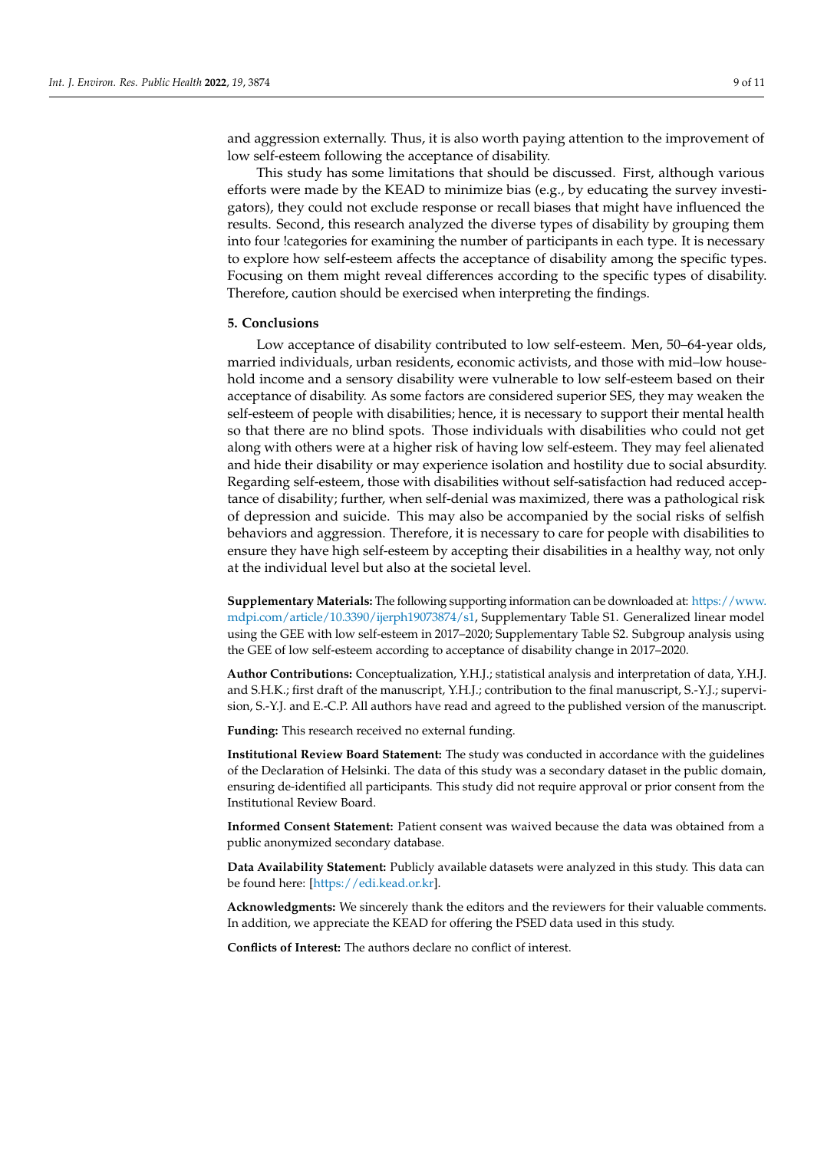and aggression externally. Thus, it is also worth paying attention to the improvement of low self-esteem following the acceptance of disability.

This study has some limitations that should be discussed. First, although various efforts were made by the KEAD to minimize bias (e.g., by educating the survey investigators), they could not exclude response or recall biases that might have influenced the results. Second, this research analyzed the diverse types of disability by grouping them into four !categories for examining the number of participants in each type. It is necessary to explore how self-esteem affects the acceptance of disability among the specific types. Focusing on them might reveal differences according to the specific types of disability. Therefore, caution should be exercised when interpreting the findings.

#### **5. Conclusions**

Low acceptance of disability contributed to low self-esteem. Men, 50–64-year olds, married individuals, urban residents, economic activists, and those with mid–low household income and a sensory disability were vulnerable to low self-esteem based on their acceptance of disability. As some factors are considered superior SES, they may weaken the self-esteem of people with disabilities; hence, it is necessary to support their mental health so that there are no blind spots. Those individuals with disabilities who could not get along with others were at a higher risk of having low self-esteem. They may feel alienated and hide their disability or may experience isolation and hostility due to social absurdity. Regarding self-esteem, those with disabilities without self-satisfaction had reduced acceptance of disability; further, when self-denial was maximized, there was a pathological risk of depression and suicide. This may also be accompanied by the social risks of selfish behaviors and aggression. Therefore, it is necessary to care for people with disabilities to ensure they have high self-esteem by accepting their disabilities in a healthy way, not only at the individual level but also at the societal level.

**Supplementary Materials:** The following supporting information can be downloaded at: [https://www.](https://www.mdpi.com/article/10.3390/ijerph19073874/s1) [mdpi.com/article/10.3390/ijerph19073874/s1,](https://www.mdpi.com/article/10.3390/ijerph19073874/s1) Supplementary Table S1. Generalized linear model using the GEE with low self-esteem in 2017–2020; Supplementary Table S2. Subgroup analysis using the GEE of low self-esteem according to acceptance of disability change in 2017–2020.

**Author Contributions:** Conceptualization, Y.H.J.; statistical analysis and interpretation of data, Y.H.J. and S.H.K.; first draft of the manuscript, Y.H.J.; contribution to the final manuscript, S.-Y.J.; supervision, S.-Y.J. and E.-C.P. All authors have read and agreed to the published version of the manuscript.

**Funding:** This research received no external funding.

**Institutional Review Board Statement:** The study was conducted in accordance with the guidelines of the Declaration of Helsinki. The data of this study was a secondary dataset in the public domain, ensuring de-identified all participants. This study did not require approval or prior consent from the Institutional Review Board.

**Informed Consent Statement:** Patient consent was waived because the data was obtained from a public anonymized secondary database.

**Data Availability Statement:** Publicly available datasets were analyzed in this study. This data can be found here: [\[https://edi.kead.or.kr\]](https://edi.kead.or.kr).

**Acknowledgments:** We sincerely thank the editors and the reviewers for their valuable comments. In addition, we appreciate the KEAD for offering the PSED data used in this study.

**Conflicts of Interest:** The authors declare no conflict of interest.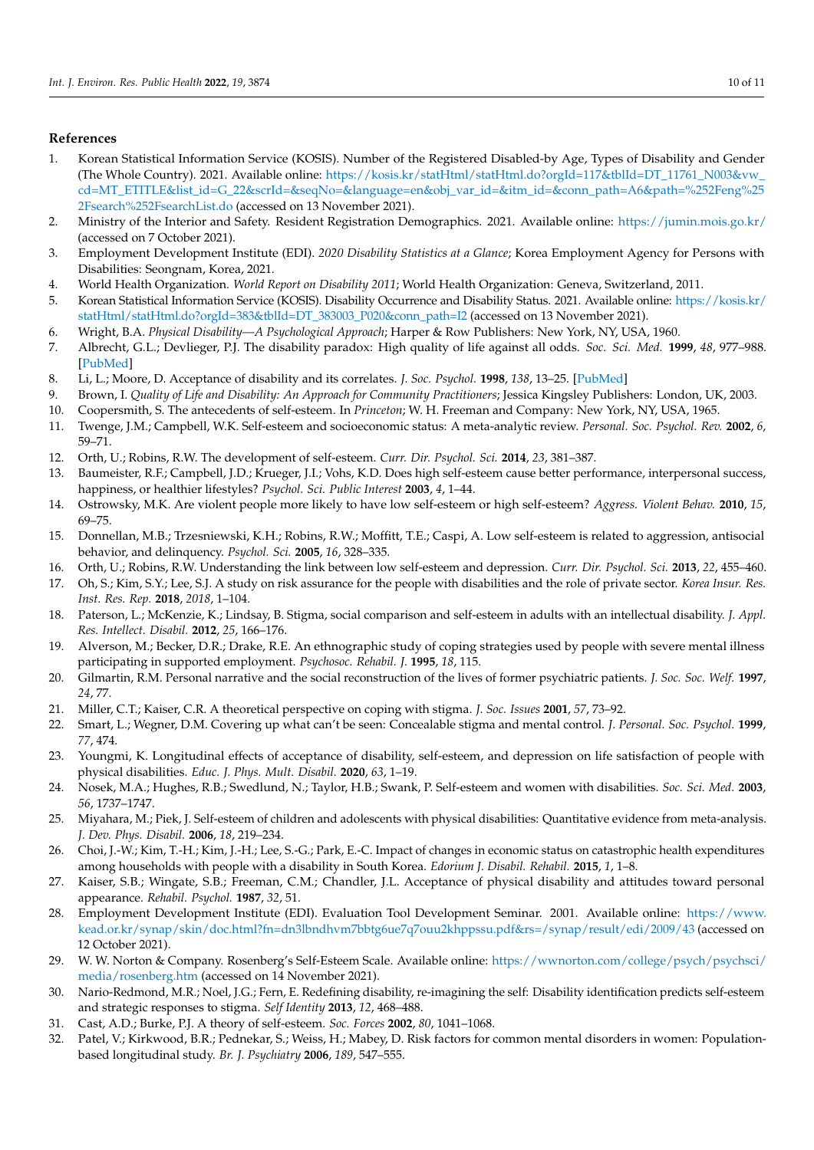## **References**

- <span id="page-9-0"></span>1. Korean Statistical Information Service (KOSIS). Number of the Registered Disabled-by Age, Types of Disability and Gender (The Whole Country). 2021. Available online: [https://kosis.kr/statHtml/statHtml.do?orgId=117&tblId=DT\\_11761\\_N003&vw\\_](https://kosis.kr/statHtml/statHtml.do?orgId=117&tblId=DT_11761_N003&vw_cd=MT_ETITLE&list_id=G_22&scrId=&seqNo=&language=en&obj_var_id=&itm_id=&conn_path=A6&path=%252Feng%252Fsearch%252FsearchList.do) [cd=MT\\_ETITLE&list\\_id=G\\_22&scrId=&seqNo=&language=en&obj\\_var\\_id=&itm\\_id=&conn\\_path=A6&path=%252Feng%25](https://kosis.kr/statHtml/statHtml.do?orgId=117&tblId=DT_11761_N003&vw_cd=MT_ETITLE&list_id=G_22&scrId=&seqNo=&language=en&obj_var_id=&itm_id=&conn_path=A6&path=%252Feng%252Fsearch%252FsearchList.do) [2Fsearch%252FsearchList.do](https://kosis.kr/statHtml/statHtml.do?orgId=117&tblId=DT_11761_N003&vw_cd=MT_ETITLE&list_id=G_22&scrId=&seqNo=&language=en&obj_var_id=&itm_id=&conn_path=A6&path=%252Feng%252Fsearch%252FsearchList.do) (accessed on 13 November 2021).
- 2. Ministry of the Interior and Safety. Resident Registration Demographics. 2021. Available online: <https://jumin.mois.go.kr/> (accessed on 7 October 2021).
- <span id="page-9-1"></span>3. Employment Development Institute (EDI). *2020 Disability Statistics at a Glance*; Korea Employment Agency for Persons with Disabilities: Seongnam, Korea, 2021.
- <span id="page-9-2"></span>4. World Health Organization. *World Report on Disability 2011*; World Health Organization: Geneva, Switzerland, 2011.
- <span id="page-9-3"></span>5. Korean Statistical Information Service (KOSIS). Disability Occurrence and Disability Status. 2021. Available online: [https://kosis.kr/](https://kosis.kr/statHtml/statHtml.do?orgId=383&tblId=DT_383003_P020&conn_path=I2) [statHtml/statHtml.do?orgId=383&tblId=DT\\_383003\\_P020&conn\\_path=I2](https://kosis.kr/statHtml/statHtml.do?orgId=383&tblId=DT_383003_P020&conn_path=I2) (accessed on 13 November 2021).
- <span id="page-9-4"></span>6. Wright, B.A. *Physical Disability—A Psychological Approach*; Harper & Row Publishers: New York, NY, USA, 1960.
- <span id="page-9-5"></span>7. Albrecht, G.L.; Devlieger, P.J. The disability paradox: High quality of life against all odds. *Soc. Sci. Med.* **1999**, *48*, 977–988. [\[PubMed\]](http://www.ncbi.nlm.nih.gov/pubmed/10390038)
- <span id="page-9-6"></span>8. Li, L.; Moore, D. Acceptance of disability and its correlates. *J. Soc. Psychol.* **1998**, *138*, 13–25. [\[PubMed\]](http://www.ncbi.nlm.nih.gov/pubmed/9517309)
- <span id="page-9-7"></span>9. Brown, I. *Quality of Life and Disability: An Approach for Community Practitioners*; Jessica Kingsley Publishers: London, UK, 2003.
- <span id="page-9-8"></span>10. Coopersmith, S. The antecedents of self-esteem. In *Princeton*; W. H. Freeman and Company: New York, NY, USA, 1965.
- <span id="page-9-9"></span>11. Twenge, J.M.; Campbell, W.K. Self-esteem and socioeconomic status: A meta-analytic review. *Personal. Soc. Psychol. Rev.* **2002**, *6*, 59–71.
- <span id="page-9-10"></span>12. Orth, U.; Robins, R.W. The development of self-esteem. *Curr. Dir. Psychol. Sci.* **2014**, *23*, 381–387.
- <span id="page-9-11"></span>13. Baumeister, R.F.; Campbell, J.D.; Krueger, J.I.; Vohs, K.D. Does high self-esteem cause better performance, interpersonal success, happiness, or healthier lifestyles? *Psychol. Sci. Public Interest* **2003**, *4*, 1–44.
- <span id="page-9-12"></span>14. Ostrowsky, M.K. Are violent people more likely to have low self-esteem or high self-esteem? *Aggress. Violent Behav.* **2010**, *15*, 69–75.
- 15. Donnellan, M.B.; Trzesniewski, K.H.; Robins, R.W.; Moffitt, T.E.; Caspi, A. Low self-esteem is related to aggression, antisocial behavior, and delinquency. *Psychol. Sci.* **2005**, *16*, 328–335.
- <span id="page-9-13"></span>16. Orth, U.; Robins, R.W. Understanding the link between low self-esteem and depression. *Curr. Dir. Psychol. Sci.* **2013**, *22*, 455–460.
- <span id="page-9-14"></span>17. Oh, S.; Kim, S.Y.; Lee, S.J. A study on risk assurance for the people with disabilities and the role of private sector. *Korea Insur. Res. Inst. Res. Rep.* **2018**, *2018*, 1–104.
- <span id="page-9-15"></span>18. Paterson, L.; McKenzie, K.; Lindsay, B. Stigma, social comparison and self-esteem in adults with an intellectual disability. *J. Appl. Res. Intellect. Disabil.* **2012**, *25*, 166–176.
- <span id="page-9-16"></span>19. Alverson, M.; Becker, D.R.; Drake, R.E. An ethnographic study of coping strategies used by people with severe mental illness participating in supported employment. *Psychosoc. Rehabil. J.* **1995**, *18*, 115.
- <span id="page-9-17"></span>20. Gilmartin, R.M. Personal narrative and the social reconstruction of the lives of former psychiatric patients. *J. Soc. Soc. Welf.* **1997**, *24*, 77.
- <span id="page-9-18"></span>21. Miller, C.T.; Kaiser, C.R. A theoretical perspective on coping with stigma. *J. Soc. Issues* **2001**, *57*, 73–92.
- <span id="page-9-19"></span>22. Smart, L.; Wegner, D.M. Covering up what can't be seen: Concealable stigma and mental control. *J. Personal. Soc. Psychol.* **1999**, *77*, 474.
- <span id="page-9-20"></span>23. Youngmi, K. Longitudinal effects of acceptance of disability, self-esteem, and depression on life satisfaction of people with physical disabilities. *Educ. J. Phys. Mult. Disabil.* **2020**, *63*, 1–19.
- <span id="page-9-26"></span>24. Nosek, M.A.; Hughes, R.B.; Swedlund, N.; Taylor, H.B.; Swank, P. Self-esteem and women with disabilities. *Soc. Sci. Med.* **2003**, *56*, 1737–1747.
- <span id="page-9-21"></span>25. Miyahara, M.; Piek, J. Self-esteem of children and adolescents with physical disabilities: Quantitative evidence from meta-analysis. *J. Dev. Phys. Disabil.* **2006**, *18*, 219–234.
- <span id="page-9-22"></span>26. Choi, J.-W.; Kim, T.-H.; Kim, J.-H.; Lee, S.-G.; Park, E.-C. Impact of changes in economic status on catastrophic health expenditures among households with people with a disability in South Korea. *Edorium J. Disabil. Rehabil.* **2015**, *1*, 1–8.
- <span id="page-9-23"></span>27. Kaiser, S.B.; Wingate, S.B.; Freeman, C.M.; Chandler, J.L. Acceptance of physical disability and attitudes toward personal appearance. *Rehabil. Psychol.* **1987**, *32*, 51.
- <span id="page-9-24"></span>28. Employment Development Institute (EDI). Evaluation Tool Development Seminar. 2001. Available online: [https://www.](https://www.kead.or.kr/synap/skin/doc.html?fn=dn3lbndhvm7bbtg6ue7q7ouu2khppssu.pdf&rs=/synap/result/edi/2009/43) [kead.or.kr/synap/skin/doc.html?fn=dn3lbndhvm7bbtg6ue7q7ouu2khppssu.pdf&rs=/synap/result/edi/2009/43](https://www.kead.or.kr/synap/skin/doc.html?fn=dn3lbndhvm7bbtg6ue7q7ouu2khppssu.pdf&rs=/synap/result/edi/2009/43) (accessed on 12 October 2021).
- <span id="page-9-25"></span>29. W. W. Norton & Company. Rosenberg's Self-Esteem Scale. Available online: [https://wwnorton.com/college/psych/psychsci/](https://wwnorton.com/college/psych/psychsci/media/rosenberg.htm) [media/rosenberg.htm](https://wwnorton.com/college/psych/psychsci/media/rosenberg.htm) (accessed on 14 November 2021).
- <span id="page-9-27"></span>30. Nario-Redmond, M.R.; Noel, J.G.; Fern, E. Redefining disability, re-imagining the self: Disability identification predicts self-esteem and strategic responses to stigma. *Self Identity* **2013**, *12*, 468–488.
- <span id="page-9-28"></span>31. Cast, A.D.; Burke, P.J. A theory of self-esteem. *Soc. Forces* **2002**, *80*, 1041–1068.
- <span id="page-9-29"></span>32. Patel, V.; Kirkwood, B.R.; Pednekar, S.; Weiss, H.; Mabey, D. Risk factors for common mental disorders in women: Populationbased longitudinal study. *Br. J. Psychiatry* **2006**, *189*, 547–555.